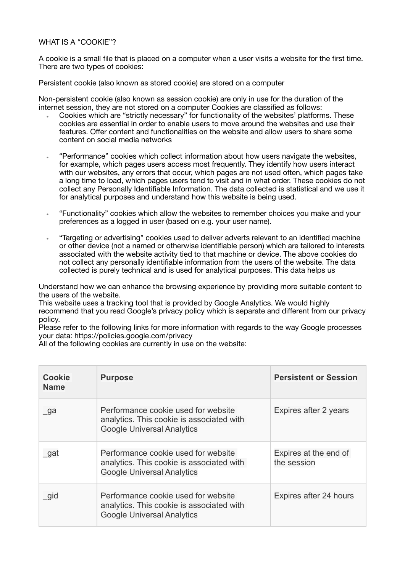## WHAT IS A "COOKIE"?

A cookie is a small file that is placed on a computer when a user visits a website for the first time. There are two types of cookies:

Persistent cookie (also known as stored cookie) are stored on a computer

Non-persistent cookie (also known as session cookie) are only in use for the duration of the internet session, they are not stored on a computer Cookies are classified as follows:

- Cookies which are "strictly necessary" for functionality of the websites' platforms. These cookies are essential in order to enable users to move around the websites and use their features. Offer content and functionalities on the website and allow users to share some content on social media networks
- "Performance" cookies which collect information about how users navigate the websites, for example, which pages users access most frequently. They identify how users interact with our websites, any errors that occur, which pages are not used often, which pages take a long time to load, which pages users tend to visit and in what order. These cookies do not collect any Personally Identifiable Information. The data collected is statistical and we use it for analytical purposes and understand how this website is being used.
- "Functionality" cookies which allow the websites to remember choices you make and your preferences as a logged in user (based on e.g. your user name).
- "Targeting or advertising" cookies used to deliver adverts relevant to an identified machine or other device (not a named or otherwise identifiable person) which are tailored to interests associated with the website activity tied to that machine or device. The above cookies do not collect any personally identifiable information from the users of the website. The data collected is purely technical and is used for analytical purposes. This data helps us

Understand how we can enhance the browsing experience by providing more suitable content to the users of the website.

This website uses a tracking tool that is provided by Google Analytics. We would highly recommend that you read Google's privacy policy which is separate and different from our privacy policy.

Please refer to the following links for more information with regards to the way Google processes your data:<https://policies.google.com/privacy>

All of the following cookies are currently in use on the website:

| <b>Cookie</b><br><b>Name</b> | <b>Purpose</b>                                                                                                        | <b>Persistent or Session</b>         |
|------------------------------|-----------------------------------------------------------------------------------------------------------------------|--------------------------------------|
| $\Box$ ga                    | Performance cookie used for website<br>analytics. This cookie is associated with<br><b>Google Universal Analytics</b> | Expires after 2 years                |
| gat                          | Performance cookie used for website<br>analytics. This cookie is associated with<br><b>Google Universal Analytics</b> | Expires at the end of<br>the session |
| gid                          | Performance cookie used for website<br>analytics. This cookie is associated with<br><b>Google Universal Analytics</b> | Expires after 24 hours               |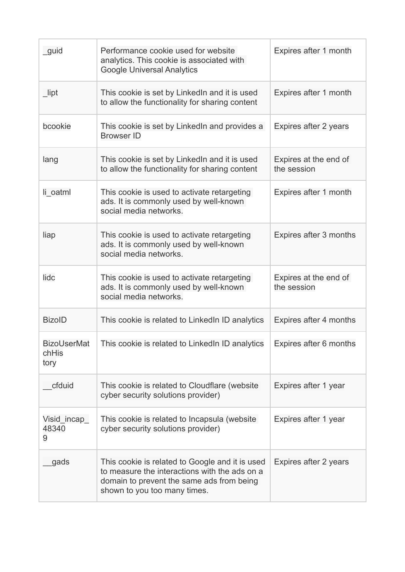| _guid                               | Performance cookie used for website<br>analytics. This cookie is associated with<br><b>Google Universal Analytics</b>                                                         | Expires after 1 month                |
|-------------------------------------|-------------------------------------------------------------------------------------------------------------------------------------------------------------------------------|--------------------------------------|
| $\_$ lipt                           | This cookie is set by LinkedIn and it is used<br>to allow the functionality for sharing content                                                                               | Expires after 1 month                |
| bcookie                             | This cookie is set by LinkedIn and provides a<br><b>Browser ID</b>                                                                                                            | Expires after 2 years                |
| lang                                | This cookie is set by LinkedIn and it is used<br>to allow the functionality for sharing content                                                                               | Expires at the end of<br>the session |
| li oatml                            | This cookie is used to activate retargeting<br>ads. It is commonly used by well-known<br>social media networks.                                                               | Expires after 1 month                |
| liap                                | This cookie is used to activate retargeting<br>ads. It is commonly used by well-known<br>social media networks.                                                               | Expires after 3 months               |
| lidc                                | This cookie is used to activate retargeting<br>ads. It is commonly used by well-known<br>social media networks.                                                               | Expires at the end of<br>the session |
| <b>BizoID</b>                       | This cookie is related to LinkedIn ID analytics                                                                                                                               | Expires after 4 months               |
| <b>BizoUserMat</b><br>chHis<br>tory | This cookie is related to LinkedIn ID analytics                                                                                                                               | Expires after 6 months               |
| cfduid                              | This cookie is related to Cloudflare (website<br>cyber security solutions provider)                                                                                           | Expires after 1 year                 |
| Visid_incap_<br>48340<br>9          | This cookie is related to Incapsula (website<br>cyber security solutions provider)                                                                                            | Expires after 1 year                 |
| gads                                | This cookie is related to Google and it is used<br>to measure the interactions with the ads on a<br>domain to prevent the same ads from being<br>shown to you too many times. | Expires after 2 years                |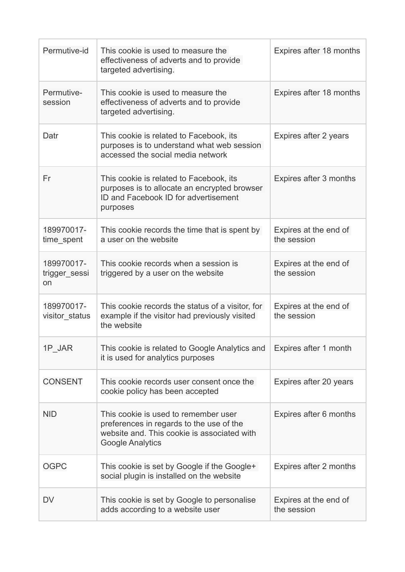| Permutive-id                      | This cookie is used to measure the<br>effectiveness of adverts and to provide<br>targeted advertising.                                                     | Expires after 18 months              |
|-----------------------------------|------------------------------------------------------------------------------------------------------------------------------------------------------------|--------------------------------------|
| Permutive-<br>session             | This cookie is used to measure the<br>effectiveness of adverts and to provide<br>targeted advertising.                                                     | Expires after 18 months              |
| Datr                              | This cookie is related to Facebook, its<br>purposes is to understand what web session<br>accessed the social media network                                 | Expires after 2 years                |
| Fr                                | This cookie is related to Facebook, its<br>purposes is to allocate an encrypted browser<br>ID and Facebook ID for advertisement<br>purposes                | Expires after 3 months               |
| 189970017-<br>time spent          | This cookie records the time that is spent by<br>a user on the website                                                                                     | Expires at the end of<br>the session |
| 189970017-<br>trigger_sessi<br>on | This cookie records when a session is<br>triggered by a user on the website                                                                                | Expires at the end of<br>the session |
| 189970017-<br>visitor status      | This cookie records the status of a visitor, for<br>example if the visitor had previously visited<br>the website                                           | Expires at the end of<br>the session |
| 1P JAR                            | This cookie is related to Google Analytics and<br>it is used for analytics purposes                                                                        | Expires after 1 month                |
| <b>CONSENT</b>                    | This cookie records user consent once the<br>cookie policy has been accepted                                                                               | Expires after 20 years               |
| <b>NID</b>                        | This cookie is used to remember user<br>preferences in regards to the use of the<br>website and. This cookie is associated with<br><b>Google Analytics</b> | Expires after 6 months               |
| <b>OGPC</b>                       | This cookie is set by Google if the Google+<br>social plugin is installed on the website                                                                   | Expires after 2 months               |
| DV                                | This cookie is set by Google to personalise<br>adds according to a website user                                                                            | Expires at the end of<br>the session |